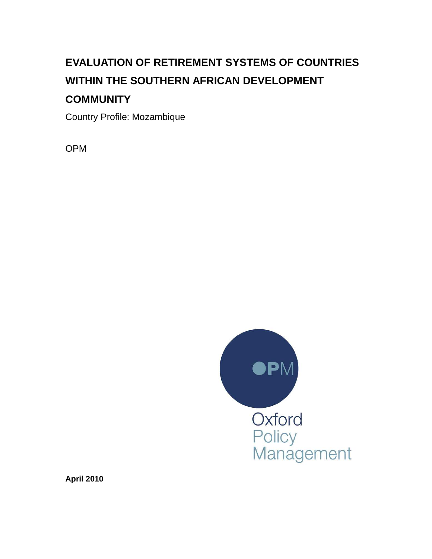# **EVALUATION OF RETIREMENT SYSTEMS OF COUNTRIES WITHIN THE SOUTHERN AFRICAN DEVELOPMENT COMMUNITY**

Country Profile: Mozambique

OPM



**April 2010**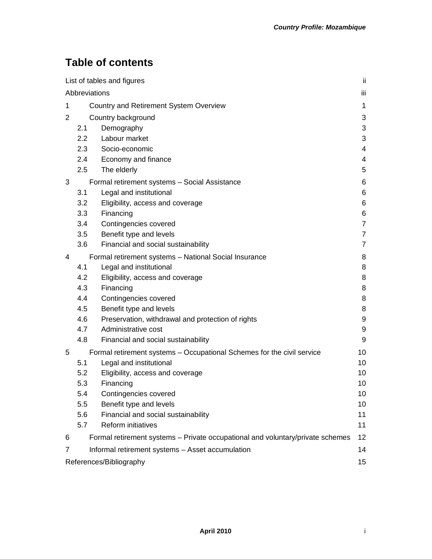# **Table of contents**

| List of tables and figures    |                  |                                                                                | jj.                      |  |
|-------------------------------|------------------|--------------------------------------------------------------------------------|--------------------------|--|
| Abbreviations                 |                  |                                                                                |                          |  |
| 1                             |                  | Country and Retirement System Overview                                         | 1                        |  |
| 2                             |                  | Country background                                                             | 3                        |  |
|                               | 2.1              | Demography                                                                     | 3                        |  |
|                               | $2.2\phantom{0}$ | Labour market                                                                  | 3                        |  |
|                               | 2.3              | Socio-economic                                                                 | $\overline{\mathcal{A}}$ |  |
|                               | 2.4              | Economy and finance                                                            | 4                        |  |
|                               | 2.5              | The elderly                                                                    | 5                        |  |
| 3                             |                  | Formal retirement systems - Social Assistance                                  | 6                        |  |
|                               | 3.1              | Legal and institutional                                                        | 6                        |  |
|                               | 3.2              | Eligibility, access and coverage                                               | 6                        |  |
|                               | 3.3              | Financing                                                                      | 6                        |  |
|                               | 3.4              | Contingencies covered                                                          | 7                        |  |
|                               | 3.5              | Benefit type and levels                                                        | 7                        |  |
|                               | 3.6              | Financial and social sustainability                                            | 7                        |  |
| 4                             |                  | Formal retirement systems - National Social Insurance                          | 8                        |  |
|                               | 4.1              | Legal and institutional                                                        | 8                        |  |
|                               | 4.2              | Eligibility, access and coverage                                               | 8                        |  |
|                               | 4.3              | Financing                                                                      | 8                        |  |
|                               | 4.4              | Contingencies covered                                                          | 8                        |  |
|                               | 4.5              | Benefit type and levels                                                        | 8                        |  |
|                               | 4.6              | Preservation, withdrawal and protection of rights                              | 9                        |  |
|                               | 4.7              | Administrative cost                                                            | 9                        |  |
|                               | 4.8              | Financial and social sustainability                                            | 9                        |  |
| 5                             |                  | Formal retirement systems - Occupational Schemes for the civil service         | 10                       |  |
|                               | 5.1              | Legal and institutional                                                        | 10                       |  |
|                               | 5.2              | Eligibility, access and coverage                                               | 10                       |  |
|                               | 5.3              | Financing                                                                      | 10                       |  |
|                               | 5.4              | Contingencies covered                                                          | 10                       |  |
|                               | 5.5              | Benefit type and levels                                                        | 10                       |  |
|                               | 5.6              | Financial and social sustainability                                            | 11                       |  |
|                               | 5.7              | Reform initiatives                                                             | 11                       |  |
| 6                             |                  | Formal retirement systems - Private occupational and voluntary/private schemes | 12                       |  |
| 7                             |                  | Informal retirement systems - Asset accumulation                               | 14                       |  |
| References/Bibliography<br>15 |                  |                                                                                |                          |  |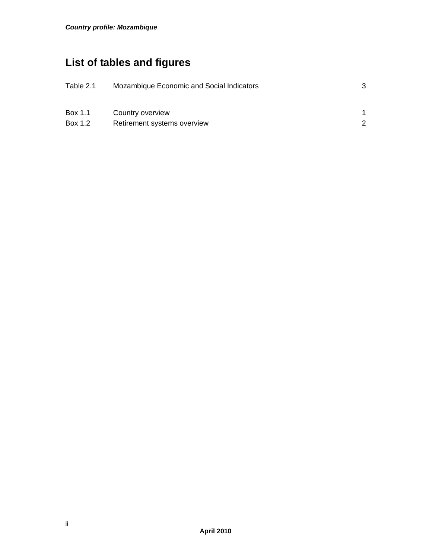# **List of tables and figures**

| Table 2.1 | Mozambique Economic and Social Indicators |  |
|-----------|-------------------------------------------|--|
| Box 1.1   | Country overview                          |  |
| Box 1.2   | Retirement systems overview               |  |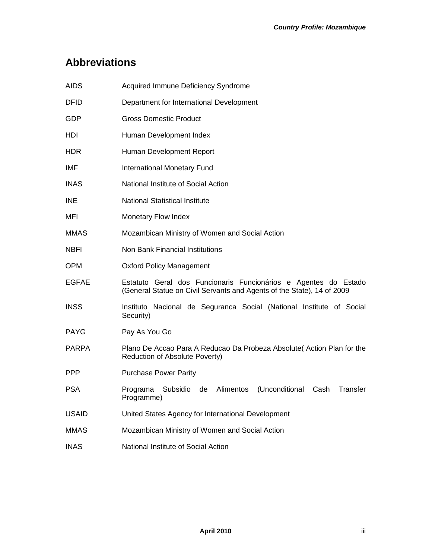# **Abbreviations**

| <b>AIDS</b>  | <b>Acquired Immune Deficiency Syndrome</b>                                                                                                |  |  |
|--------------|-------------------------------------------------------------------------------------------------------------------------------------------|--|--|
| DFID         | Department for International Development                                                                                                  |  |  |
| GDP          | <b>Gross Domestic Product</b>                                                                                                             |  |  |
| HDI          | Human Development Index                                                                                                                   |  |  |
| HDR.         | Human Development Report                                                                                                                  |  |  |
| IMF          | International Monetary Fund                                                                                                               |  |  |
| INAS.        | National Institute of Social Action                                                                                                       |  |  |
| INE          | National Statistical Institute                                                                                                            |  |  |
| MFI          | Monetary Flow Index                                                                                                                       |  |  |
| <b>MMAS</b>  | Mozambican Ministry of Women and Social Action                                                                                            |  |  |
| NBFI         | Non Bank Financial Institutions                                                                                                           |  |  |
| <b>OPM</b>   | <b>Oxford Policy Management</b>                                                                                                           |  |  |
| EGFAE        | Estatuto Geral dos Funcionaris Funcionários e Agentes do Estado<br>(General Statue on Civil Servants and Agents of the State), 14 of 2009 |  |  |
| <b>INSS</b>  | Instituto Nacional de Seguranca Social (National Institute of Social<br>Security)                                                         |  |  |
| PAYG         | Pay As You Go                                                                                                                             |  |  |
| <b>PARPA</b> | Plano De Accao Para A Reducao Da Probeza Absolute (Action Plan for the<br>Reduction of Absolute Poverty)                                  |  |  |
| PPP          | <b>Purchase Power Parity</b>                                                                                                              |  |  |
| <b>PSA</b>   | Alimentos<br>(Unconditional<br>Transfer<br>Programa<br>Subsidio<br>de<br>Cash<br>Programme)                                               |  |  |
| <b>USAID</b> | United States Agency for International Development                                                                                        |  |  |
| MMAS         | Mozambican Ministry of Women and Social Action                                                                                            |  |  |
| <b>INAS</b>  | National Institute of Social Action                                                                                                       |  |  |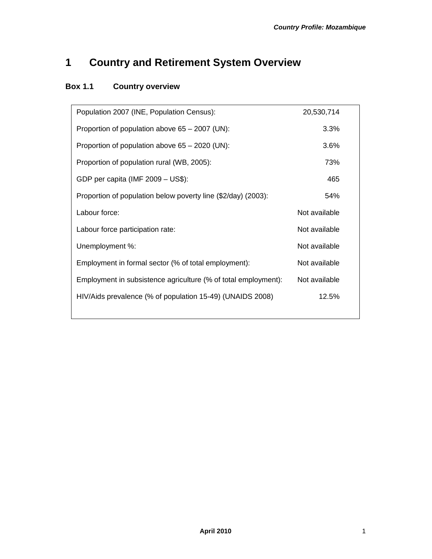# **1 Country and Retirement System Overview**

## **Box 1.1 Country overview**

| Population 2007 (INE, Population Census):                      | 20,530,714    |  |
|----------------------------------------------------------------|---------------|--|
| Proportion of population above 65 – 2007 (UN):                 | 3.3%          |  |
| Proportion of population above 65 - 2020 (UN):                 | 3.6%          |  |
| Proportion of population rural (WB, 2005):                     | 73%           |  |
| GDP per capita (IMF 2009 - US\$):                              | 465           |  |
| Proportion of population below poverty line (\$2/day) (2003):  | 54%           |  |
| Labour force:                                                  | Not available |  |
| Labour force participation rate:                               | Not available |  |
| Unemployment %:                                                | Not available |  |
| Employment in formal sector (% of total employment):           | Not available |  |
| Employment in subsistence agriculture (% of total employment): | Not available |  |
| HIV/Aids prevalence (% of population 15-49) (UNAIDS 2008)      | 12.5%         |  |
|                                                                |               |  |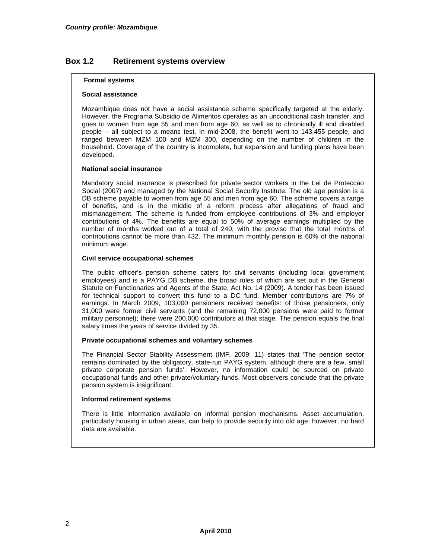#### **Box 1.2 Retirement systems overview**

#### **Formal systems**

#### **Social assistance**

Mozambique does not have a social assistance scheme specifically targeted at the elderly. However, the Programa Subsidio de Alimentos operates as an unconditional cash transfer, and goes to women from age 55 and men from age 60, as well as to chronically ill and disabled people – all subject to a means test. In mid-2008, the benefit went to 143,455 people, and ranged between MZM 100 and MZM 300, depending on the number of children in the household. Coverage of the country is incomplete, but expansion and funding plans have been developed.

#### **National social insurance**

Mandatory social insurance is prescribed for private sector workers in the Lei de Proteccao Social (2007) and managed by the National Social Security Institute. The old age pension is a DB scheme payable to women from age 55 and men from age 60. The scheme covers a range of benefits, and is in the middle of a reform process after allegations of fraud and mismanagement. The scheme is funded from employee contributions of 3% and employer contributions of 4%. The benefits are equal to 50% of average earnings multiplied by the number of months worked out of a total of 240, with the proviso that the total months of contributions cannot be more than 432. The minimum monthly pension is 60% of the national minimum wage.

#### **Civil service occupational schemes**

The public officer's pension scheme caters for civil servants (including local government employees) and is a PAYG DB scheme, the broad rules of which are set out in the General Statute on Functionaries and Agents of the State, Act No. 14 (2009). A tender has been issued for technical support to convert this fund to a DC fund. Member contributions are 7% of earnings. In March 2009, 103,000 pensioners received benefits: of those pensioners, only 31,000 were former civil servants (and the remaining 72,000 pensions were paid to former military personnel); there were 200,000 contributors at that stage. The pension equals the final salary times the years of service divided by 35.

#### **Private occupational schemes and voluntary schemes**

The Financial Sector Stability Assessment (IMF, 2009: 11) states that 'The pension sector remains dominated by the obligatory, state-run PAYG system, although there are a few, small private corporate pension funds'. However, no information could be sourced on private occupational funds and other private/voluntary funds. Most observers conclude that the private pension system is insignificant.

#### **Informal retirement systems**

There is little information available on informal pension mechanisms. Asset accumulation, particularly housing in urban areas, can help to provide security into old age; however, no hard data are available.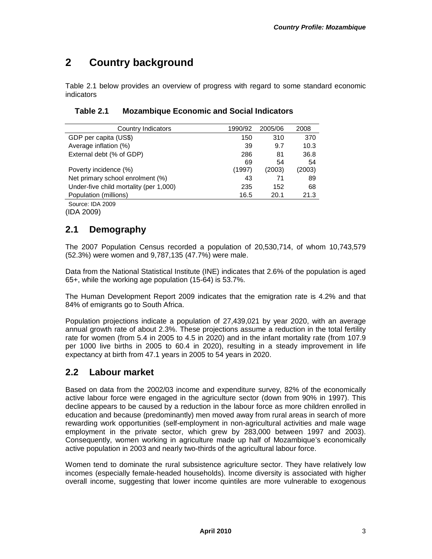# **2 Country background**

Table 2.1 below provides an overview of progress with regard to some standard economic indicators

| Country Indicators                     | 1990/92 | 2005/06 | 2008   |
|----------------------------------------|---------|---------|--------|
| GDP per capita (US\$)                  | 150     | 310     | 370    |
| Average inflation (%)                  | 39      | 9.7     | 10.3   |
| External debt (% of GDP)               | 286     | 81      | 36.8   |
|                                        | 69      | 54      | 54     |
| Poverty incidence (%)                  | (1997)  | (2003)  | (2003) |
| Net primary school enrolment (%)       | 43      | 71      | 89     |
| Under-five child mortality (per 1,000) | 235     | 152     | 68     |
| Population (millions)                  | 16.5    | 20.1    | 21.3   |
| Source: IDA 2009                       |         |         |        |

#### **Table 2.1 Mozambique Economic and Social Indicators**

(IDA 2009)

### **2.1 Demography**

The 2007 Population Census recorded a population of 20,530,714, of whom 10,743,579 (52.3%) were women and 9,787,135 (47.7%) were male.

Data from the National Statistical Institute (INE) indicates that 2.6% of the population is aged 65+, while the working age population (15-64) is 53.7%.

The Human Development Report 2009 indicates that the emigration rate is 4.2% and that 84% of emigrants go to South Africa.

Population projections indicate a population of 27,439,021 by year 2020, with an average annual growth rate of about 2.3%. These projections assume a reduction in the total fertility rate for women (from 5.4 in 2005 to 4.5 in 2020) and in the infant mortality rate (from 107.9 per 1000 live births in 2005 to 60.4 in 2020), resulting in a steady improvement in life expectancy at birth from 47.1 years in 2005 to 54 years in 2020.

### **2.2 Labour market**

Based on data from the 2002/03 income and expenditure survey, 82% of the economically active labour force were engaged in the agriculture sector (down from 90% in 1997). This decline appears to be caused by a reduction in the labour force as more children enrolled in education and because (predominantly) men moved away from rural areas in search of more rewarding work opportunities (self-employment in non-agricultural activities and male wage employment in the private sector, which grew by 283,000 between 1997 and 2003). Consequently, women working in agriculture made up half of Mozambique's economically active population in 2003 and nearly two-thirds of the agricultural labour force.

Women tend to dominate the rural subsistence agriculture sector. They have relatively low incomes (especially female-headed households). Income diversity is associated with higher overall income, suggesting that lower income quintiles are more vulnerable to exogenous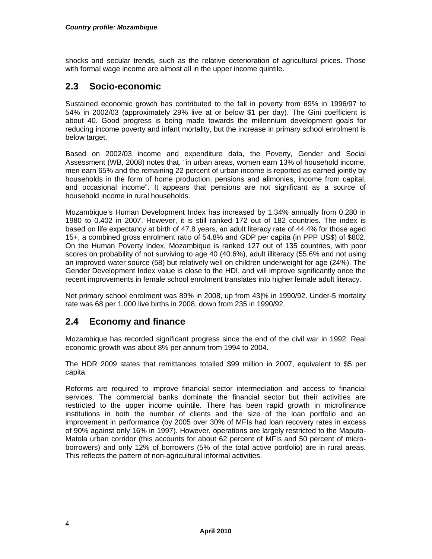shocks and secular trends, such as the relative deterioration of agricultural prices. Those with formal wage income are almost all in the upper income quintile.

#### **2.3 Socio-economic**

Sustained economic growth has contributed to the fall in poverty from 69% in 1996/97 to 54% in 2002/03 (approximately 29% live at or below \$1 per day). The Gini coefficient is about 40. Good progress is being made towards the millennium development goals for reducing income poverty and infant mortality, but the increase in primary school enrolment is below target.

Based on 2002/03 income and expenditure data, the Poverty, Gender and Social Assessment (WB, 2008) notes that, "in urban areas, women earn 13% of household income, men earn 65% and the remaining 22 percent of urban income is reported as earned jointly by households in the form of home production, pensions and alimonies, income from capital, and occasional income". It appears that pensions are not significant as a source of household income in rural households.

Mozambique's Human Development Index has increased by 1.34% annually from 0.280 in 1980 to 0.402 in 2007. However, it is still ranked 172 out of 182 countries. The index is based on life expectancy at birth of 47.8 years, an adult literacy rate of 44.4% for those aged 15+, a combined gross enrolment ratio of 54.8% and GDP per capita (in PPP US\$) of \$802. On the Human Poverty Index, Mozambique is ranked 127 out of 135 countries, with poor scores on probability of not surviving to age 40 (40.6%), adult illiteracy (55.6% and not using an improved water source (58) but relatively well on children underweight for age (24%). The Gender Development Index value is close to the HDI, and will improve significantly once the recent improvements in female school enrolment translates into higher female adult literacy.

Net primary school enrolment was 89% in 2008, up from 43|% in 1990/92. Under-5 mortality rate was 68 per 1,000 live births in 2008, down from 235 in 1990/92.

#### **2.4 Economy and finance**

Mozambique has recorded significant progress since the end of the civil war in 1992. Real economic growth was about 8% per annum from 1994 to 2004.

The HDR 2009 states that remittances totalled \$99 million in 2007, equivalent to \$5 per capita.

Reforms are required to improve financial sector intermediation and access to financial services. The commercial banks dominate the financial sector but their activities are restricted to the upper income quintile. There has been rapid growth in microfinance institutions in both the number of clients and the size of the loan portfolio and an improvement in performance (by 2005 over 30% of MFIs had loan recovery rates in excess of 90% against only 16% in 1997). However, operations are largely restricted to the Maputo-Matola urban corridor (this accounts for about 62 percent of MFIs and 50 percent of microborrowers) and only 12% of borrowers (5% of the total active portfolio) are in rural areas. This reflects the pattern of non-agricultural informal activities.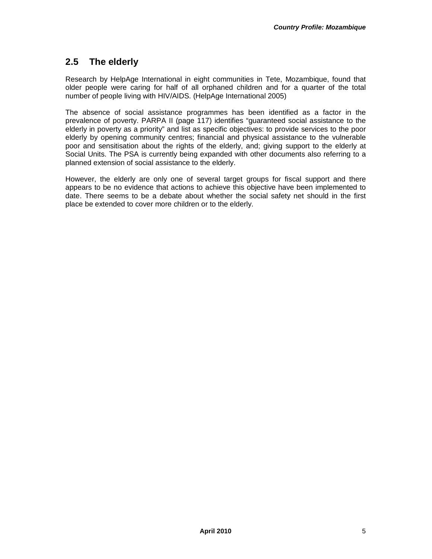### **2.5 The elderly**

Research by HelpAge International in eight communities in Tete, Mozambique, found that older people were caring for half of all orphaned children and for a quarter of the total number of people living with HIV/AIDS. (HelpAge International 2005)

The absence of social assistance programmes has been identified as a factor in the prevalence of poverty. PARPA II (page 117) identifies "guaranteed social assistance to the elderly in poverty as a priority" and list as specific objectives: to provide services to the poor elderly by opening community centres; financial and physical assistance to the vulnerable poor and sensitisation about the rights of the elderly, and; giving support to the elderly at Social Units. The PSA is currently being expanded with other documents also referring to a planned extension of social assistance to the elderly.

However, the elderly are only one of several target groups for fiscal support and there appears to be no evidence that actions to achieve this objective have been implemented to date. There seems to be a debate about whether the social safety net should in the first place be extended to cover more children or to the elderly.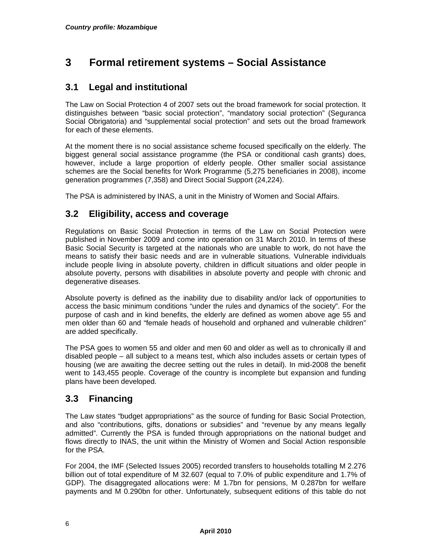# **3 Formal retirement systems – Social Assistance**

#### **3.1 Legal and institutional**

The Law on Social Protection 4 of 2007 sets out the broad framework for social protection. It distinguishes between "basic social protection", "mandatory social protection" (Seguranca Social Obrigatoria) and "supplemental social protection" and sets out the broad framework for each of these elements.

At the moment there is no social assistance scheme focused specifically on the elderly. The biggest general social assistance programme (the PSA or conditional cash grants) does, however, include a large proportion of elderly people. Other smaller social assistance schemes are the Social benefits for Work Programme (5,275 beneficiaries in 2008), income generation programmes (7,358) and Direct Social Support (24,224).

The PSA is administered by INAS, a unit in the Ministry of Women and Social Affairs.

### **3.2 Eligibility, access and coverage**

Regulations on Basic Social Protection in terms of the Law on Social Protection were published in November 2009 and come into operation on 31 March 2010. In terms of these Basic Social Security is targeted at the nationals who are unable to work, do not have the means to satisfy their basic needs and are in vulnerable situations. Vulnerable individuals include people living in absolute poverty, children in difficult situations and older people in absolute poverty, persons with disabilities in absolute poverty and people with chronic and degenerative diseases.

Absolute poverty is defined as the inability due to disability and/or lack of opportunities to access the basic minimum conditions "under the rules and dynamics of the society". For the purpose of cash and in kind benefits, the elderly are defined as women above age 55 and men older than 60 and "female heads of household and orphaned and vulnerable children" are added specifically.

The PSA goes to women 55 and older and men 60 and older as well as to chronically ill and disabled people – all subject to a means test, which also includes assets or certain types of housing (we are awaiting the decree setting out the rules in detail). In mid-2008 the benefit went to 143,455 people. Coverage of the country is incomplete but expansion and funding plans have been developed.

### **3.3 Financing**

The Law states "budget appropriations" as the source of funding for Basic Social Protection, and also "contributions, gifts, donations or subsidies" and "revenue by any means legally admitted". Currently the PSA is funded through appropriations on the national budget and flows directly to INAS, the unit within the Ministry of Women and Social Action responsible for the PSA.

For 2004, the IMF (Selected Issues 2005) recorded transfers to households totalling M 2.276 billion out of total expenditure of M 32.607 (equal to 7.0% of public expenditure and 1.7% of GDP). The disaggregated allocations were: M 1.7bn for pensions, M 0.287bn for welfare payments and M 0.290bn for other. Unfortunately, subsequent editions of this table do not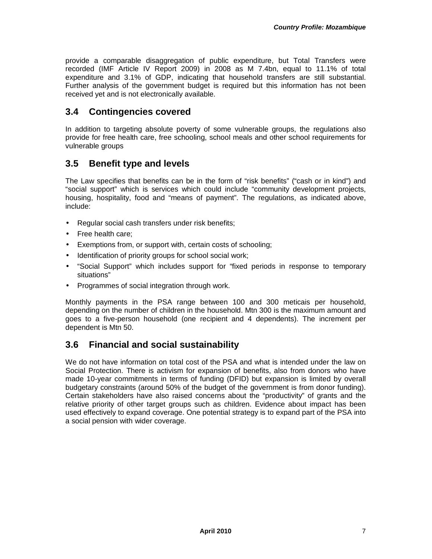provide a comparable disaggregation of public expenditure, but Total Transfers were recorded (IMF Article IV Report 2009) in 2008 as M 7.4bn, equal to 11.1% of total expenditure and 3.1% of GDP, indicating that household transfers are still substantial. Further analysis of the government budget is required but this information has not been received yet and is not electronically available.

#### **3.4 Contingencies covered**

In addition to targeting absolute poverty of some vulnerable groups, the regulations also provide for free health care, free schooling, school meals and other school requirements for vulnerable groups

#### **3.5 Benefit type and levels**

The Law specifies that benefits can be in the form of "risk benefits" ("cash or in kind") and "social support" which is services which could include "community development projects, housing, hospitality, food and "means of payment". The regulations, as indicated above, include:

- Regular social cash transfers under risk benefits;
- Free health care;
- Exemptions from, or support with, certain costs of schooling;
- Identification of priority groups for school social work;
- "Social Support" which includes support for "fixed periods in response to temporary situations"
- Programmes of social integration through work.

Monthly payments in the PSA range between 100 and 300 meticais per household, depending on the number of children in the household. Mtn 300 is the maximum amount and goes to a five-person household (one recipient and 4 dependents). The increment per dependent is Mtn 50.

### **3.6 Financial and social sustainability**

We do not have information on total cost of the PSA and what is intended under the law on Social Protection. There is activism for expansion of benefits, also from donors who have made 10-year commitments in terms of funding (DFID) but expansion is limited by overall budgetary constraints (around 50% of the budget of the government is from donor funding). Certain stakeholders have also raised concerns about the "productivity" of grants and the relative priority of other target groups such as children. Evidence about impact has been used effectively to expand coverage. One potential strategy is to expand part of the PSA into a social pension with wider coverage.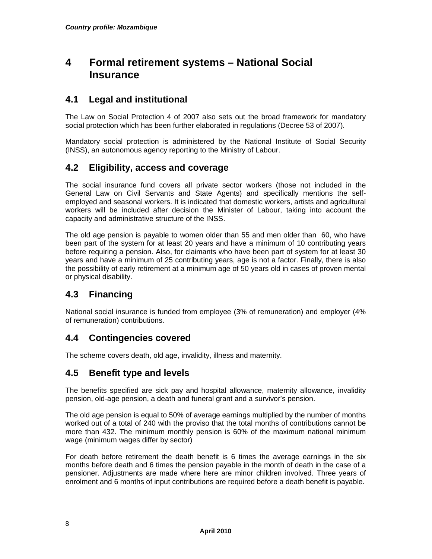# **4 Formal retirement systems – National Social Insurance**

#### **4.1 Legal and institutional**

The Law on Social Protection 4 of 2007 also sets out the broad framework for mandatory social protection which has been further elaborated in regulations (Decree 53 of 2007).

Mandatory social protection is administered by the National Institute of Social Security (INSS), an autonomous agency reporting to the Ministry of Labour.

#### **4.2 Eligibility, access and coverage**

The social insurance fund covers all private sector workers (those not included in the General Law on Civil Servants and State Agents) and specifically mentions the selfemployed and seasonal workers. It is indicated that domestic workers, artists and agricultural workers will be included after decision the Minister of Labour, taking into account the capacity and administrative structure of the INSS.

The old age pension is payable to women older than 55 and men older than 60, who have been part of the system for at least 20 years and have a minimum of 10 contributing years before requiring a pension. Also, for claimants who have been part of system for at least 30 years and have a minimum of 25 contributing years, age is not a factor. Finally, there is also the possibility of early retirement at a minimum age of 50 years old in cases of proven mental or physical disability.

### **4.3 Financing**

National social insurance is funded from employee (3% of remuneration) and employer (4% of remuneration) contributions.

#### **4.4 Contingencies covered**

The scheme covers death, old age, invalidity, illness and maternity.

#### **4.5 Benefit type and levels**

The benefits specified are sick pay and hospital allowance, maternity allowance, invalidity pension, old-age pension, a death and funeral grant and a survivor's pension.

The old age pension is equal to 50% of average earnings multiplied by the number of months worked out of a total of 240 with the proviso that the total months of contributions cannot be more than 432. The minimum monthly pension is 60% of the maximum national minimum wage (minimum wages differ by sector)

For death before retirement the death benefit is 6 times the average earnings in the six months before death and 6 times the pension payable in the month of death in the case of a pensioner. Adjustments are made where here are minor children involved. Three years of enrolment and 6 months of input contributions are required before a death benefit is payable.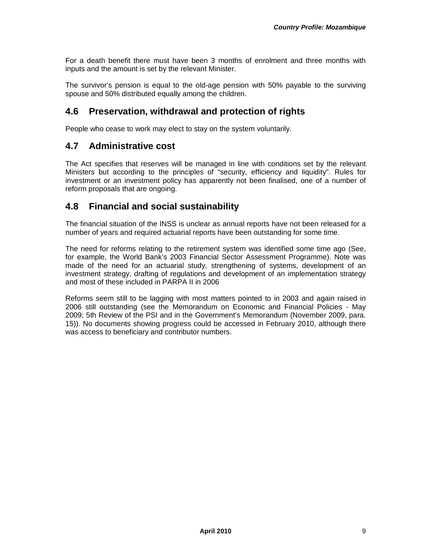For a death benefit there must have been 3 months of enrolment and three months with inputs and the amount is set by the relevant Minister.

The survivor's pension is equal to the old-age pension with 50% payable to the surviving spouse and 50% distributed equally among the children.

#### **4.6 Preservation, withdrawal and protection of rights**

People who cease to work may elect to stay on the system voluntarily.

#### **4.7 Administrative cost**

The Act specifies that reserves will be managed in line with conditions set by the relevant Ministers but according to the principles of "security, efficiency and liquidity". Rules for investment or an investment policy has apparently not been finalised, one of a number of reform proposals that are ongoing.

#### **4.8 Financial and social sustainability**

The financial situation of the INSS is unclear as annual reports have not been released for a number of years and required actuarial reports have been outstanding for some time.

The need for reforms relating to the retirement system was identified some time ago (See, for example, the World Bank's 2003 Financial Sector Assessment Programme). Note was made of the need for an actuarial study, strengthening of systems, development of an investment strategy, drafting of regulations and development of an implementation strategy and most of these included in PARPA II in 2006

Reforms seem still to be lagging with most matters pointed to in 2003 and again raised in 2006 still outstanding (see the Memorandum on Economic and Financial Policies - May 2009; 5th Review of the PSI and in the Government's Memorandum (November 2009, para. 15)). No documents showing progress could be accessed in February 2010, although there was access to beneficiary and contributor numbers.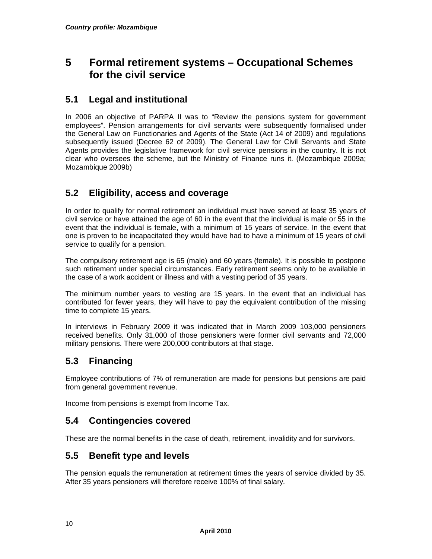# **5 Formal retirement systems – Occupational Schemes for the civil service**

#### **5.1 Legal and institutional**

In 2006 an objective of PARPA II was to "Review the pensions system for government employees". Pension arrangements for civil servants were subsequently formalised under the General Law on Functionaries and Agents of the State (Act 14 of 2009) and regulations subsequently issued (Decree 62 of 2009). The General Law for Civil Servants and State Agents provides the legislative framework for civil service pensions in the country. It is not clear who oversees the scheme, but the Ministry of Finance runs it. (Mozambique 2009a; Mozambique 2009b)

### **5.2 Eligibility, access and coverage**

In order to qualify for normal retirement an individual must have served at least 35 years of civil service or have attained the age of 60 in the event that the individual is male or 55 in the event that the individual is female, with a minimum of 15 years of service. In the event that one is proven to be incapacitated they would have had to have a minimum of 15 years of civil service to qualify for a pension.

The compulsory retirement age is 65 (male) and 60 years (female). It is possible to postpone such retirement under special circumstances. Early retirement seems only to be available in the case of a work accident or illness and with a vesting period of 35 years.

The minimum number years to vesting are 15 years. In the event that an individual has contributed for fewer years, they will have to pay the equivalent contribution of the missing time to complete 15 years.

In interviews in February 2009 it was indicated that in March 2009 103,000 pensioners received benefits. Only 31,000 of those pensioners were former civil servants and 72,000 military pensions. There were 200,000 contributors at that stage.

### **5.3 Financing**

Employee contributions of 7% of remuneration are made for pensions but pensions are paid from general government revenue.

Income from pensions is exempt from Income Tax.

#### **5.4 Contingencies covered**

These are the normal benefits in the case of death, retirement, invalidity and for survivors.

#### **5.5 Benefit type and levels**

The pension equals the remuneration at retirement times the years of service divided by 35. After 35 years pensioners will therefore receive 100% of final salary.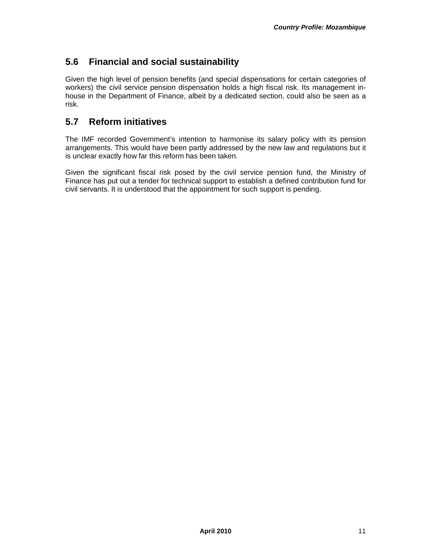### **5.6 Financial and social sustainability**

Given the high level of pension benefits (and special dispensations for certain categories of workers) the civil service pension dispensation holds a high fiscal risk. Its management inhouse in the Department of Finance, albeit by a dedicated section, could also be seen as a risk.

### **5.7 Reform initiatives**

The IMF recorded Government's intention to harmonise its salary policy with its pension arrangements. This would have been partly addressed by the new law and regulations but it is unclear exactly how far this reform has been taken.

Given the significant fiscal risk posed by the civil service pension fund, the Ministry of Finance has put out a tender for technical support to establish a defined contribution fund for civil servants. It is understood that the appointment for such support is pending.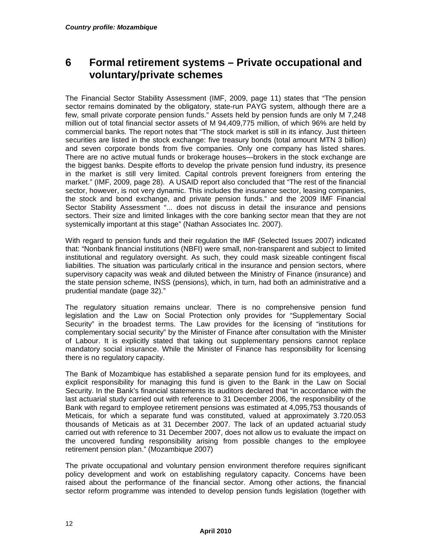# **6 Formal retirement systems – Private occupational and voluntary/private schemes**

The Financial Sector Stability Assessment (IMF, 2009, page 11) states that "The pension sector remains dominated by the obligatory, state-run PAYG system, although there are a few, small private corporate pension funds." Assets held by pension funds are only M 7,248 million out of total financial sector assets of M 94,409,775 million, of which 96% are held by commercial banks. The report notes that "The stock market is still in its infancy. Just thirteen securities are listed in the stock exchange: five treasury bonds (total amount MTN 3 billion) and seven corporate bonds from five companies. Only one company has listed shares. There are no active mutual funds or brokerage houses—brokers in the stock exchange are the biggest banks. Despite efforts to develop the private pension fund industry, its presence in the market is still very limited. Capital controls prevent foreigners from entering the market." (IMF, 2009, page 28). A USAID report also concluded that "The rest of the financial sector, however, is not very dynamic. This includes the insurance sector, leasing companies, the stock and bond exchange, and private pension funds." and the 2009 IMF Financial Sector Stability Assessment "... does not discuss in detail the insurance and pensions sectors. Their size and limited linkages with the core banking sector mean that they are not systemically important at this stage" (Nathan Associates Inc. 2007).

With regard to pension funds and their regulation the IMF (Selected Issues 2007) indicated that: "Nonbank financial institutions (NBFI) were small, non-transparent and subject to limited institutional and regulatory oversight. As such, they could mask sizeable contingent fiscal liabilities. The situation was particularly critical in the insurance and pension sectors, where supervisory capacity was weak and diluted between the Ministry of Finance (insurance) and the state pension scheme, INSS (pensions), which, in turn, had both an administrative and a prudential mandate (page 32)."

The regulatory situation remains unclear. There is no comprehensive pension fund legislation and the Law on Social Protection only provides for "Supplementary Social Security" in the broadest terms. The Law provides for the licensing of "institutions for complementary social security" by the Minister of Finance after consultation with the Minister of Labour. It is explicitly stated that taking out supplementary pensions cannot replace mandatory social insurance. While the Minister of Finance has responsibility for licensing there is no regulatory capacity.

The Bank of Mozambique has established a separate pension fund for its employees, and explicit responsibility for managing this fund is given to the Bank in the Law on Social Security. In the Bank's financial statements its auditors declared that "in accordance with the last actuarial study carried out with reference to 31 December 2006, the responsibility of the Bank with regard to employee retirement pensions was estimated at 4,095,753 thousands of Meticais, for which a separate fund was constituted, valued at approximately 3.720.053 thousands of Meticais as at 31 December 2007. The lack of an updated actuarial study carried out with reference to 31 December 2007, does not allow us to evaluate the impact on the uncovered funding responsibility arising from possible changes to the employee retirement pension plan." (Mozambique 2007)

The private occupational and voluntary pension environment therefore requires significant policy development and work on establishing regulatory capacity. Concerns have been raised about the performance of the financial sector. Among other actions, the financial sector reform programme was intended to develop pension funds legislation (together with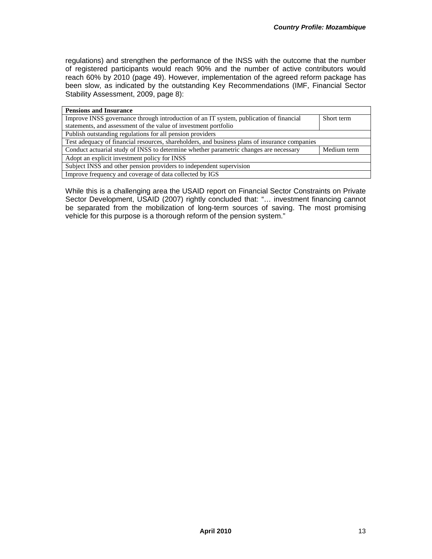regulations) and strengthen the performance of the INSS with the outcome that the number of registered participants would reach 90% and the number of active contributors would reach 60% by 2010 (page 49). However, implementation of the agreed reform package has been slow, as indicated by the outstanding Key Recommendations (IMF, Financial Sector Stability Assessment, 2009, page 8):

| <b>Pensions and Insurance</b>                                                                 |             |  |  |
|-----------------------------------------------------------------------------------------------|-------------|--|--|
| Improve INSS governance through introduction of an IT system, publication of financial        | Short term  |  |  |
| statements, and assessment of the value of investment portfolio                               |             |  |  |
| Publish outstanding regulations for all pension providers                                     |             |  |  |
| Test adequacy of financial resources, shareholders, and business plans of insurance companies |             |  |  |
| Conduct actuarial study of INSS to determine whether parametric changes are necessary         | Medium term |  |  |
| Adopt an explicit investment policy for INSS                                                  |             |  |  |
| Subject INSS and other pension providers to independent supervision                           |             |  |  |
| Improve frequency and coverage of data collected by IGS                                       |             |  |  |

While this is a challenging area the USAID report on Financial Sector Constraints on Private Sector Development, USAID (2007) rightly concluded that: "… investment financing cannot be separated from the mobilization of long-term sources of saving. The most promising vehicle for this purpose is a thorough reform of the pension system."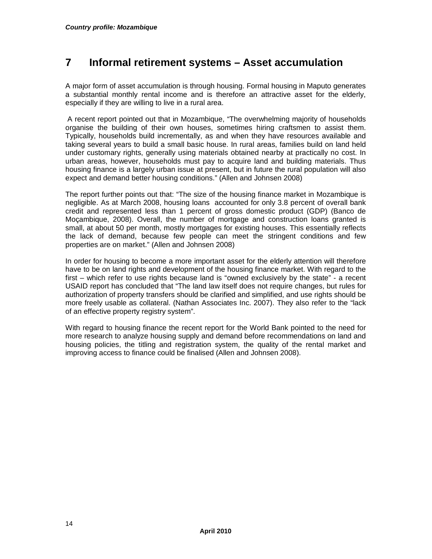# **7 Informal retirement systems – Asset accumulation**

A major form of asset accumulation is through housing. Formal housing in Maputo generates a substantial monthly rental income and is therefore an attractive asset for the elderly, especially if they are willing to live in a rural area.

 A recent report pointed out that in Mozambique, "The overwhelming majority of households organise the building of their own houses, sometimes hiring craftsmen to assist them. Typically, households build incrementally, as and when they have resources available and taking several years to build a small basic house. In rural areas, families build on land held under customary rights, generally using materials obtained nearby at practically no cost. In urban areas, however, households must pay to acquire land and building materials. Thus housing finance is a largely urban issue at present, but in future the rural population will also expect and demand better housing conditions." (Allen and Johnsen 2008)

The report further points out that: "The size of the housing finance market in Mozambique is negligible. As at March 2008, housing loans accounted for only 3.8 percent of overall bank credit and represented less than 1 percent of gross domestic product (GDP) (Banco de Moçambique, 2008). Overall, the number of mortgage and construction loans granted is small, at about 50 per month, mostly mortgages for existing houses. This essentially reflects the lack of demand, because few people can meet the stringent conditions and few properties are on market." (Allen and Johnsen 2008)

In order for housing to become a more important asset for the elderly attention will therefore have to be on land rights and development of the housing finance market. With regard to the first – which refer to use rights because land is "owned exclusively by the state" - a recent USAID report has concluded that "The land law itself does not require changes, but rules for authorization of property transfers should be clarified and simplified, and use rights should be more freely usable as collateral. (Nathan Associates Inc. 2007). They also refer to the "lack of an effective property registry system".

With regard to housing finance the recent report for the World Bank pointed to the need for more research to analyze housing supply and demand before recommendations on land and housing policies, the titling and registration system, the quality of the rental market and improving access to finance could be finalised (Allen and Johnsen 2008).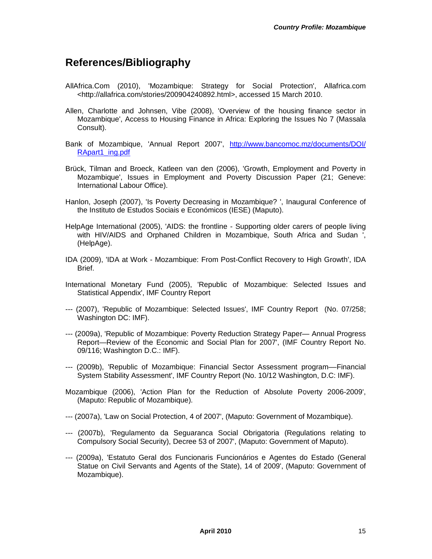## **References/Bibliography**

- AllAfrica.Com (2010), 'Mozambique: Strategy for Social Protection', Allafrica.com <http://allafrica.com/stories/200904240892.html>, accessed 15 March 2010.
- Allen, Charlotte and Johnsen, Vibe (2008), 'Overview of the housing finance sector in Mozambique', Access to Housing Finance in Africa: Exploring the Issues No 7 (Massala Consult).
- Bank of Mozambique, 'Annual Report 2007', http://www.bancomoc.mz/documents/DOI/ RApart1\_ing.pdf
- Brück, Tilman and Broeck, Katleen van den (2006), 'Growth, Employment and Poverty in Mozambique', Issues in Employment and Poverty Discussion Paper (21; Geneve: International Labour Office).
- Hanlon, Joseph (2007), 'Is Poverty Decreasing in Mozambique? ', Inaugural Conference of the Instituto de Estudos Sociais e Económicos (IESE) (Maputo).
- HelpAge International (2005), 'AIDS: the frontline Supporting older carers of people living with HIV/AIDS and Orphaned Children in Mozambique, South Africa and Sudan ', (HelpAge).
- IDA (2009), 'IDA at Work Mozambique: From Post-Conflict Recovery to High Growth', IDA Brief.
- International Monetary Fund (2005), 'Republic of Mozambique: Selected Issues and Statistical Appendix', IMF Country Report
- --- (2007), 'Republic of Mozambique: Selected Issues', IMF Country Report (No. 07/258; Washington DC: IMF).
- --- (2009a), 'Republic of Mozambique: Poverty Reduction Strategy Paper— Annual Progress Report—Review of the Economic and Social Plan for 2007', (IMF Country Report No. 09/116; Washington D.C.: IMF).
- --- (2009b), 'Republic of Mozambique: Financial Sector Assessment program––Financial System Stability Assessment', IMF Country Report (No. 10/12 Washington, D.C: IMF).
- Mozambique (2006), 'Action Plan for the Reduction of Absolute Poverty 2006-2009', (Maputo: Republic of Mozambique).
- --- (2007a), 'Law on Social Protection, 4 of 2007', (Maputo: Government of Mozambique).
- --- (2007b), 'Regulamento da Seguaranca Social Obrigatoria (Regulations relating to Compulsory Social Security), Decree 53 of 2007', (Maputo: Government of Maputo).
- --- (2009a), 'Estatuto Geral dos Funcionaris Funcionários e Agentes do Estado (General Statue on Civil Servants and Agents of the State), 14 of 2009', (Maputo: Government of Mozambique).